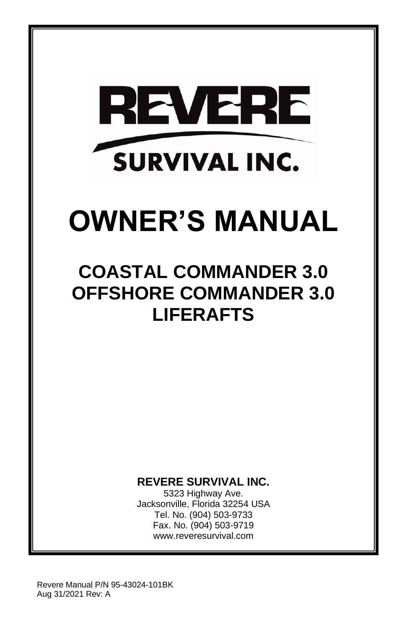

# **OWNER'S MANUAL**

# **COASTAL COMMANDER 3.0 OFFSHORE COMMANDER 3.0 LIFERAFTS**

# **REVERE SURVIVAL INC.**

5323 Highway Ave. Jacksonville, Florida 32254 USA Tel. No. (904) 503-9733 Fax. No. (904) 503-9719 www.reveresurvival.com

Revere Manual P/N 95-43024-101BK Aug 31/2021 Rev: A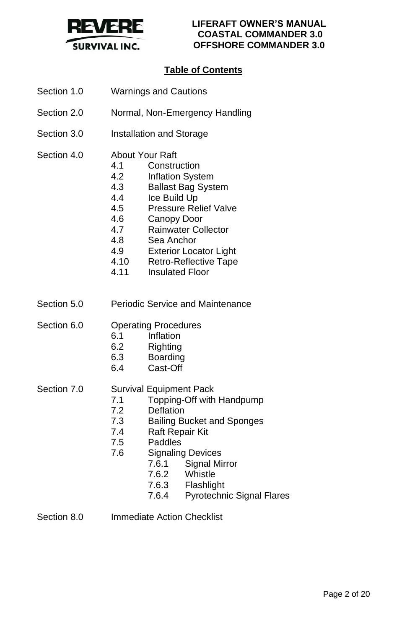

# **Table of Contents**

- Section 1.0 Warnings and Cautions
- Section 2.0 Normal, Non-Emergency Handling
- Section 3.0 **Installation and Storage**
- Section 4.0 About Your Raft
	- 4.1 Construction
	- 4.2 Inflation System
	- 4.3 Ballast Bag System
	- 4.4 Ice Build Up
	- 4.5 Pressure Relief Valve
	- 4.6 Canopy Door
	- 4.7 Rainwater Collector
	- 4.8 Sea Anchor
	- 4.9 Exterior Locator Light
	- 4.10 Retro-Reflective Tape
	- 4.11 Insulated Floor
- Section 5.0 Periodic Service and Maintenance

Section 6.0 Operating Procedures

- 6.1 Inflation
- 6.2 Righting
- 6.3 Boarding
- 6.4 Cast-Off

#### Section 7.0 Survival Equipment Pack

- 7.1 Topping-Off with Handpump
- 7.2 Deflation
- 7.3 Bailing Bucket and Sponges
- 7.4 Raft Repair Kit
- 7.5 Paddles
- 7.6 Signaling Devices
	- 7.6.1 Signal Mirror
	- 7.6.2 Whistle
	- 7.6.3 Flashlight
	- 7.6.4 Pyrotechnic Signal Flares

Section 8.0 **Immediate Action Checklist**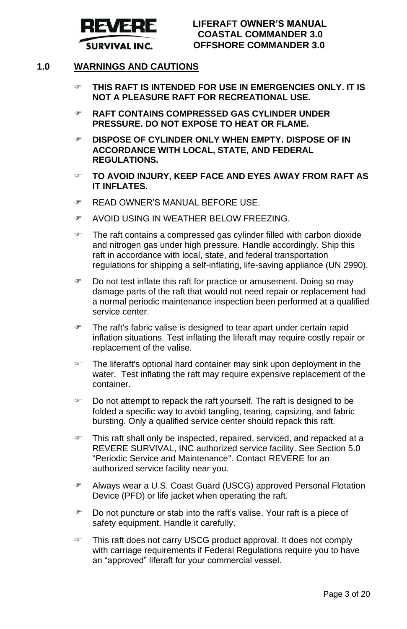

#### **1.0 WARNINGS AND CAUTIONS**

- **THIS RAFT IS INTENDED FOR USE IN EMERGENCIES ONLY. IT IS NOT A PLEASURE RAFT FOR RECREATIONAL USE.**
- **RAFT CONTAINS COMPRESSED GAS CYLINDER UNDER PRESSURE. DO NOT EXPOSE TO HEAT OR FLAME.**
- **DISPOSE OF CYLINDER ONLY WHEN EMPTY. DISPOSE OF IN ACCORDANCE WITH LOCAL, STATE, AND FEDERAL REGULATIONS.**
- **TO AVOID INJURY, KEEP FACE AND EYES AWAY FROM RAFT AS IT INFLATES.**
- READ OWNER'S MANUAL BEFORE USE.
- AVOID USING IN WEATHER BELOW FREEZING.
- The raft contains a compressed gas cylinder filled with carbon dioxide and nitrogen gas under high pressure. Handle accordingly. Ship this raft in accordance with local, state, and federal transportation regulations for shipping a self-inflating, life-saving appliance (UN 2990).
- Do not test inflate this raft for practice or amusement. Doing so may damage parts of the raft that would not need repair or replacement had a normal periodic maintenance inspection been performed at a qualified service center.
- The raft's fabric valise is designed to tear apart under certain rapid inflation situations. Test inflating the liferaft may require costly repair or replacement of the valise.
- The liferaft's optional hard container may sink upon deployment in the water. Test inflating the raft may require expensive replacement of the container.
- Do not attempt to repack the raft yourself. The raft is designed to be folded a specific way to avoid tangling, tearing, capsizing, and fabric bursting. Only a qualified service center should repack this raft.
- This raft shall only be inspected, repaired, serviced, and repacked at a REVERE SURVIVAL, INC authorized service facility. See Section 5.0 "Periodic Service and Maintenance". Contact REVERE for an authorized service facility near you.
- Always wear a U.S. Coast Guard (USCG) approved Personal Flotation Device (PFD) or life jacket when operating the raft.
- Do not puncture or stab into the raft's valise. Your raft is a piece of safety equipment. Handle it carefully.
- This raft does not carry USCG product approval. It does not comply with carriage requirements if Federal Regulations require you to have an "approved" liferaft for your commercial vessel.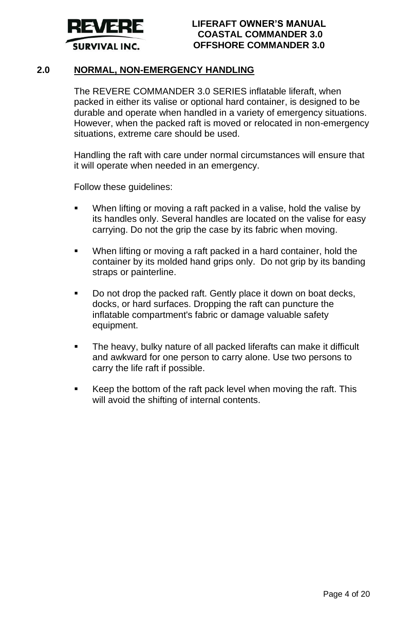

#### **2.0 NORMAL, NON-EMERGENCY HANDLING**

The REVERE COMMANDER 3.0 SERIES inflatable liferaft, when packed in either its valise or optional hard container, is designed to be durable and operate when handled in a variety of emergency situations. However, when the packed raft is moved or relocated in non-emergency situations, extreme care should be used.

Handling the raft with care under normal circumstances will ensure that it will operate when needed in an emergency.

Follow these guidelines:

- When lifting or moving a raft packed in a valise, hold the valise by its handles only. Several handles are located on the valise for easy carrying. Do not the grip the case by its fabric when moving.
- When lifting or moving a raft packed in a hard container, hold the container by its molded hand grips only. Do not grip by its banding straps or painterline.
- Do not drop the packed raft. Gently place it down on boat decks, docks, or hard surfaces. Dropping the raft can puncture the inflatable compartment's fabric or damage valuable safety equipment.
- The heavy, bulky nature of all packed liferafts can make it difficult and awkward for one person to carry alone. Use two persons to carry the life raft if possible.
- Keep the bottom of the raft pack level when moving the raft. This will avoid the shifting of internal contents.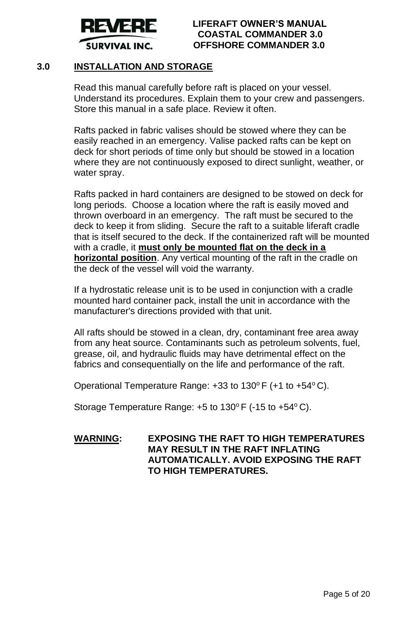

# **3.0 INSTALLATION AND STORAGE**

Read this manual carefully before raft is placed on your vessel. Understand its procedures. Explain them to your crew and passengers. Store this manual in a safe place. Review it often.

Rafts packed in fabric valises should be stowed where they can be easily reached in an emergency. Valise packed rafts can be kept on deck for short periods of time only but should be stowed in a location where they are not continuously exposed to direct sunlight, weather, or water spray.

Rafts packed in hard containers are designed to be stowed on deck for long periods. Choose a location where the raft is easily moved and thrown overboard in an emergency. The raft must be secured to the deck to keep it from sliding. Secure the raft to a suitable liferaft cradle that is itself secured to the deck. If the containerized raft will be mounted with a cradle, it **must only be mounted flat on the deck in a horizontal position**. Any vertical mounting of the raft in the cradle on the deck of the vessel will void the warranty.

If a hydrostatic release unit is to be used in conjunction with a cradle mounted hard container pack, install the unit in accordance with the manufacturer's directions provided with that unit.

All rafts should be stowed in a clean, dry, contaminant free area away from any heat source. Contaminants such as petroleum solvents, fuel, grease, oil, and hydraulic fluids may have detrimental effect on the fabrics and consequentially on the life and performance of the raft.

Operational Temperature Range: +33 to 130°F (+1 to +54°C).

Storage Temperature Range: +5 to 130°F (-15 to +54°C).

# **WARNING: EXPOSING THE RAFT TO HIGH TEMPERATURES MAY RESULT IN THE RAFT INFLATING AUTOMATICALLY. AVOID EXPOSING THE RAFT TO HIGH TEMPERATURES.**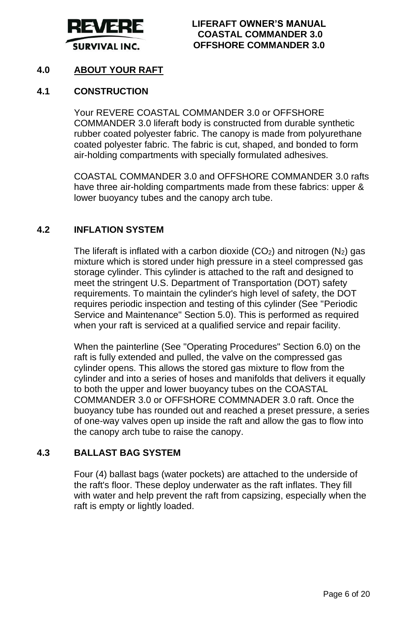

# **4.0 ABOUT YOUR RAFT**

#### **4.1 CONSTRUCTION**

Your REVERE COASTAL COMMANDER 3.0 or OFFSHORE COMMANDER 3.0 liferaft body is constructed from durable synthetic rubber coated polyester fabric. The canopy is made from polyurethane coated polyester fabric. The fabric is cut, shaped, and bonded to form air-holding compartments with specially formulated adhesives.

COASTAL COMMANDER 3.0 and OFFSHORE COMMANDER 3.0 rafts have three air-holding compartments made from these fabrics: upper & lower buoyancy tubes and the canopy arch tube.

#### **4.2 INFLATION SYSTEM**

The liferaft is inflated with a carbon dioxide  $(CO<sub>2</sub>)$  and nitrogen  $(N<sub>2</sub>)$  gas mixture which is stored under high pressure in a steel compressed gas storage cylinder. This cylinder is attached to the raft and designed to meet the stringent U.S. Department of Transportation (DOT) safety requirements. To maintain the cylinder's high level of safety, the DOT requires periodic inspection and testing of this cylinder (See "Periodic Service and Maintenance" Section 5.0). This is performed as required when your raft is serviced at a qualified service and repair facility.

When the painterline (See "Operating Procedures" Section 6.0) on the raft is fully extended and pulled, the valve on the compressed gas cylinder opens. This allows the stored gas mixture to flow from the cylinder and into a series of hoses and manifolds that delivers it equally to both the upper and lower buoyancy tubes on the COASTAL COMMANDER 3.0 or OFFSHORE COMMNADER 3.0 raft. Once the buoyancy tube has rounded out and reached a preset pressure, a series of one-way valves open up inside the raft and allow the gas to flow into the canopy arch tube to raise the canopy.

### **4.3 BALLAST BAG SYSTEM**

Four (4) ballast bags (water pockets) are attached to the underside of the raft's floor. These deploy underwater as the raft inflates. They fill with water and help prevent the raft from capsizing, especially when the raft is empty or lightly loaded.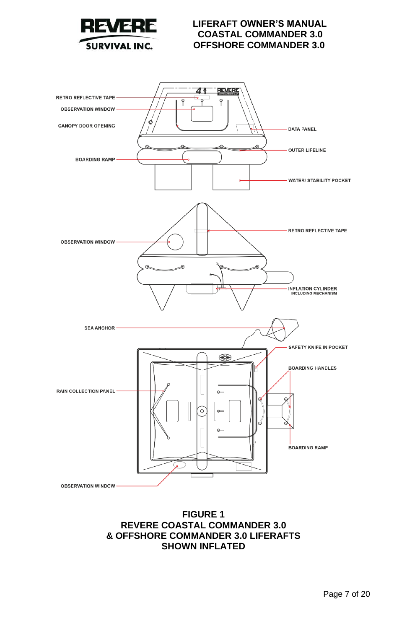



**REVERE COASTAL COMMANDER 3.0 & OFFSHORE COMMANDER 3.0 LIFERAFTS SHOWN INFLATED**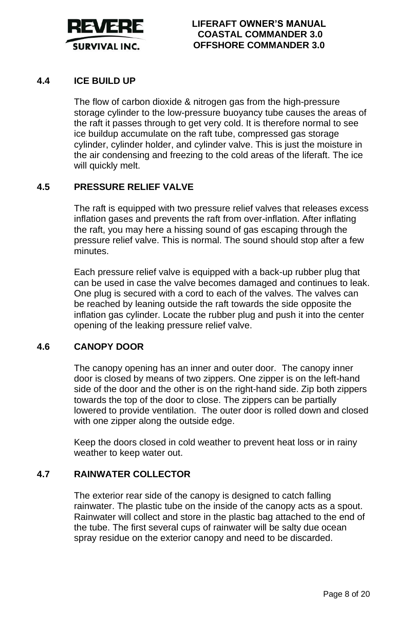

# **4.4 ICE BUILD UP**

The flow of carbon dioxide & nitrogen gas from the high-pressure storage cylinder to the low-pressure buoyancy tube causes the areas of the raft it passes through to get very cold. It is therefore normal to see ice buildup accumulate on the raft tube, compressed gas storage cylinder, cylinder holder, and cylinder valve. This is just the moisture in the air condensing and freezing to the cold areas of the liferaft. The ice will quickly melt.

#### **4.5 PRESSURE RELIEF VALVE**

The raft is equipped with two pressure relief valves that releases excess inflation gases and prevents the raft from over-inflation. After inflating the raft, you may here a hissing sound of gas escaping through the pressure relief valve. This is normal. The sound should stop after a few minutes.

Each pressure relief valve is equipped with a back-up rubber plug that can be used in case the valve becomes damaged and continues to leak. One plug is secured with a cord to each of the valves. The valves can be reached by leaning outside the raft towards the side opposite the inflation gas cylinder. Locate the rubber plug and push it into the center opening of the leaking pressure relief valve.

#### **4.6 CANOPY DOOR**

The canopy opening has an inner and outer door. The canopy inner door is closed by means of two zippers. One zipper is on the left-hand side of the door and the other is on the right-hand side. Zip both zippers towards the top of the door to close. The zippers can be partially lowered to provide ventilation. The outer door is rolled down and closed with one zipper along the outside edge.

Keep the doors closed in cold weather to prevent heat loss or in rainy weather to keep water out.

#### **4.7 RAINWATER COLLECTOR**

The exterior rear side of the canopy is designed to catch falling rainwater. The plastic tube on the inside of the canopy acts as a spout. Rainwater will collect and store in the plastic bag attached to the end of the tube. The first several cups of rainwater will be salty due ocean spray residue on the exterior canopy and need to be discarded.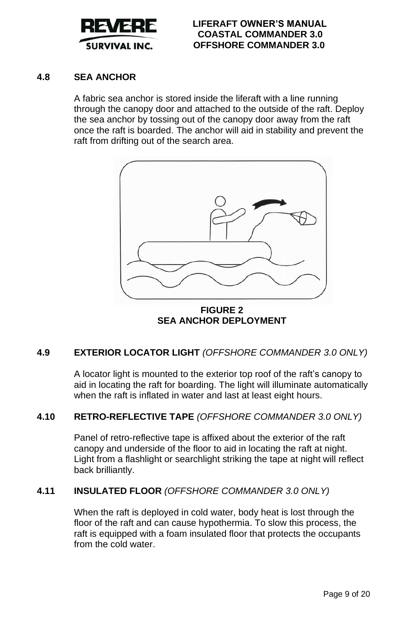

# **4.8 SEA ANCHOR**

A fabric sea anchor is stored inside the liferaft with a line running through the canopy door and attached to the outside of the raft. Deploy the sea anchor by tossing out of the canopy door away from the raft once the raft is boarded. The anchor will aid in stability and prevent the raft from drifting out of the search area.



**FIGURE 2 SEA ANCHOR DEPLOYMENT**

# **4.9 EXTERIOR LOCATOR LIGHT** *(OFFSHORE COMMANDER 3.0 ONLY)*

A locator light is mounted to the exterior top roof of the raft's canopy to aid in locating the raft for boarding. The light will illuminate automatically when the raft is inflated in water and last at least eight hours.

# **4.10 RETRO-REFLECTIVE TAPE** *(OFFSHORE COMMANDER 3.0 ONLY)*

Panel of retro-reflective tape is affixed about the exterior of the raft canopy and underside of the floor to aid in locating the raft at night. Light from a flashlight or searchlight striking the tape at night will reflect back brilliantly.

# **4.11 INSULATED FLOOR** *(OFFSHORE COMMANDER 3.0 ONLY)*

When the raft is deployed in cold water, body heat is lost through the floor of the raft and can cause hypothermia. To slow this process, the raft is equipped with a foam insulated floor that protects the occupants from the cold water.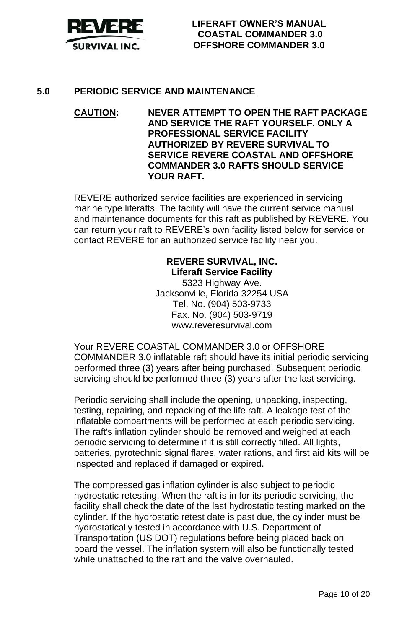

#### **5.0 PERIODIC SERVICE AND MAINTENANCE**

**CAUTION: NEVER ATTEMPT TO OPEN THE RAFT PACKAGE AND SERVICE THE RAFT YOURSELF. ONLY A PROFESSIONAL SERVICE FACILITY AUTHORIZED BY REVERE SURVIVAL TO SERVICE REVERE COASTAL AND OFFSHORE COMMANDER 3.0 RAFTS SHOULD SERVICE YOUR RAFT.**

REVERE authorized service facilities are experienced in servicing marine type liferafts. The facility will have the current service manual and maintenance documents for this raft as published by REVERE. You can return your raft to REVERE's own facility listed below for service or contact REVERE for an authorized service facility near you.

# **REVERE SURVIVAL, INC. Liferaft Service Facility**

5323 Highway Ave. Jacksonville, Florida 32254 USA Tel. No. (904) 503-9733 Fax. No. (904) 503-9719 www.reveresurvival.com

Your REVERE COASTAL COMMANDER 3.0 or OFFSHORE COMMANDER 3.0 inflatable raft should have its initial periodic servicing performed three (3) years after being purchased. Subsequent periodic servicing should be performed three (3) years after the last servicing.

Periodic servicing shall include the opening, unpacking, inspecting, testing, repairing, and repacking of the life raft. A leakage test of the inflatable compartments will be performed at each periodic servicing. The raft's inflation cylinder should be removed and weighed at each periodic servicing to determine if it is still correctly filled. All lights, batteries, pyrotechnic signal flares, water rations, and first aid kits will be inspected and replaced if damaged or expired.

The compressed gas inflation cylinder is also subject to periodic hydrostatic retesting. When the raft is in for its periodic servicing, the facility shall check the date of the last hydrostatic testing marked on the cylinder. If the hydrostatic retest date is past due, the cylinder must be hydrostatically tested in accordance with U.S. Department of Transportation (US DOT) regulations before being placed back on board the vessel. The inflation system will also be functionally tested while unattached to the raft and the valve overhauled.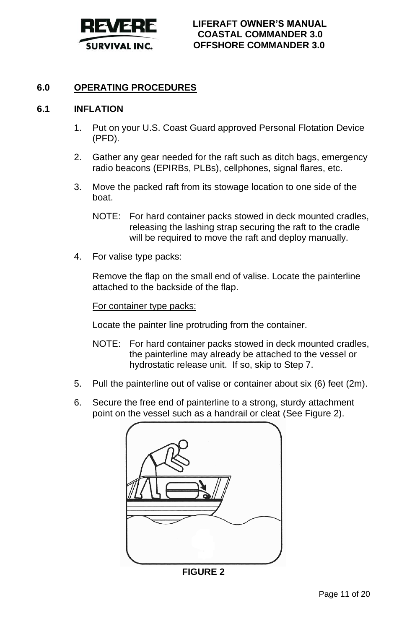

# **6.0 OPERATING PROCEDURES**

#### **6.1 INFLATION**

- 1. Put on your U.S. Coast Guard approved Personal Flotation Device (PFD).
- 2. Gather any gear needed for the raft such as ditch bags, emergency radio beacons (EPIRBs, PLBs), cellphones, signal flares, etc.
- 3. Move the packed raft from its stowage location to one side of the boat.
	- NOTE: For hard container packs stowed in deck mounted cradles, releasing the lashing strap securing the raft to the cradle will be required to move the raft and deploy manually.
- 4. For valise type packs:

Remove the flap on the small end of valise. Locate the painterline attached to the backside of the flap.

For container type packs:

Locate the painter line protruding from the container.

- NOTE: For hard container packs stowed in deck mounted cradles, the painterline may already be attached to the vessel or hydrostatic release unit. If so, skip to Step 7.
- 5. Pull the painterline out of valise or container about six (6) feet (2m).
- 6. Secure the free end of painterline to a strong, sturdy attachment point on the vessel such as a handrail or cleat (See Figure 2).



**FIGURE 2**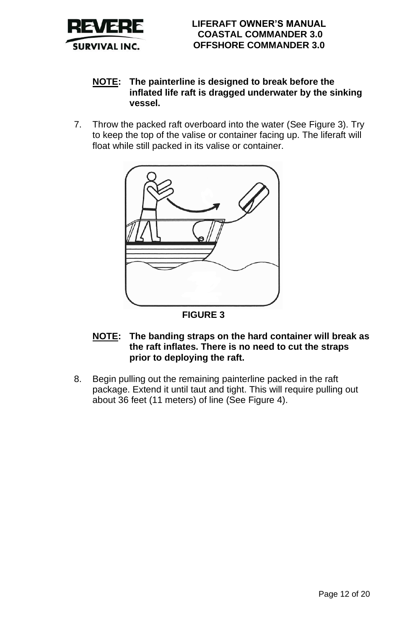

# **NOTE: The painterline is designed to break before the inflated life raft is dragged underwater by the sinking vessel.**

7. Throw the packed raft overboard into the water (See Figure 3). Try to keep the top of the valise or container facing up. The liferaft will float while still packed in its valise or container.



**FIGURE 3**

- **NOTE: The banding straps on the hard container will break as the raft inflates. There is no need to cut the straps prior to deploying the raft.**
- 8. Begin pulling out the remaining painterline packed in the raft package. Extend it until taut and tight. This will require pulling out about 36 feet (11 meters) of line (See Figure 4).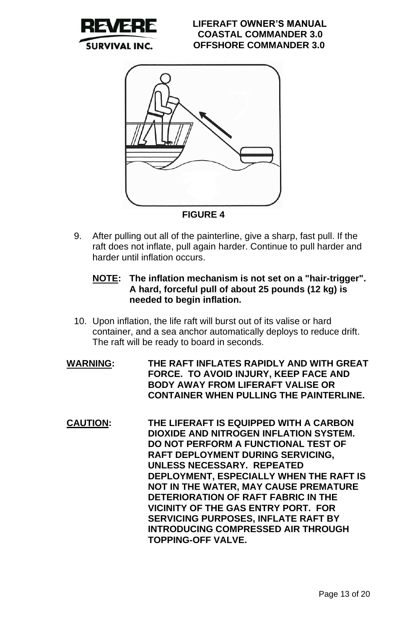



**FIGURE 4**

- 9. After pulling out all of the painterline, give a sharp, fast pull. If the raft does not inflate, pull again harder. Continue to pull harder and harder until inflation occurs.
	- **NOTE: The inflation mechanism is not set on a "hair-trigger". A hard, forceful pull of about 25 pounds (12 kg) is needed to begin inflation.**
- 10. Upon inflation, the life raft will burst out of its valise or hard container, and a sea anchor automatically deploys to reduce drift. The raft will be ready to board in seconds.
- **WARNING: THE RAFT INFLATES RAPIDLY AND WITH GREAT FORCE. TO AVOID INJURY, KEEP FACE AND BODY AWAY FROM LIFERAFT VALISE OR CONTAINER WHEN PULLING THE PAINTERLINE.**
- **CAUTION: THE LIFERAFT IS EQUIPPED WITH A CARBON DIOXIDE AND NITROGEN INFLATION SYSTEM. DO NOT PERFORM A FUNCTIONAL TEST OF RAFT DEPLOYMENT DURING SERVICING, UNLESS NECESSARY. REPEATED DEPLOYMENT, ESPECIALLY WHEN THE RAFT IS NOT IN THE WATER, MAY CAUSE PREMATURE DETERIORATION OF RAFT FABRIC IN THE VICINITY OF THE GAS ENTRY PORT. FOR SERVICING PURPOSES, INFLATE RAFT BY INTRODUCING COMPRESSED AIR THROUGH TOPPING-OFF VALVE.**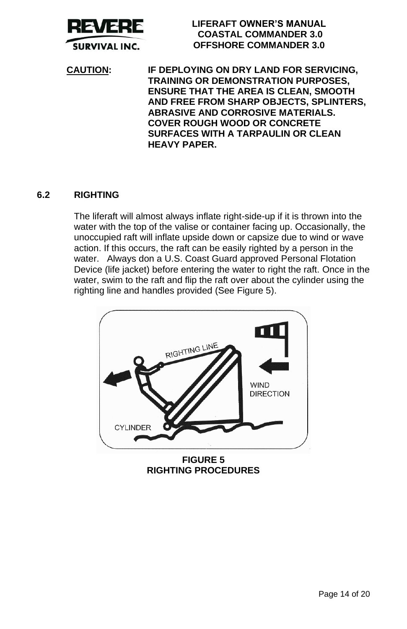

**CAUTION: IF DEPLOYING ON DRY LAND FOR SERVICING, TRAINING OR DEMONSTRATION PURPOSES, ENSURE THAT THE AREA IS CLEAN, SMOOTH AND FREE FROM SHARP OBJECTS, SPLINTERS, ABRASIVE AND CORROSIVE MATERIALS. COVER ROUGH WOOD OR CONCRETE SURFACES WITH A TARPAULIN OR CLEAN HEAVY PAPER.**

# **6.2 RIGHTING**

The liferaft will almost always inflate right-side-up if it is thrown into the water with the top of the valise or container facing up. Occasionally, the unoccupied raft will inflate upside down or capsize due to wind or wave action. If this occurs, the raft can be easily righted by a person in the water. Always don a U.S. Coast Guard approved Personal Flotation Device (life jacket) before entering the water to right the raft. Once in the water, swim to the raft and flip the raft over about the cylinder using the righting line and handles provided (See Figure 5).



**RIGHTING PROCEDURES**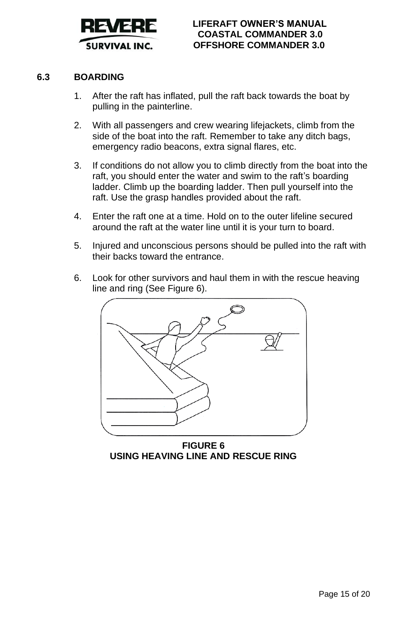

# **6.3 BOARDING**

- 1. After the raft has inflated, pull the raft back towards the boat by pulling in the painterline.
- 2. With all passengers and crew wearing lifejackets, climb from the side of the boat into the raft. Remember to take any ditch bags, emergency radio beacons, extra signal flares, etc.
- 3. If conditions do not allow you to climb directly from the boat into the raft, you should enter the water and swim to the raft's boarding ladder. Climb up the boarding ladder. Then pull yourself into the raft. Use the grasp handles provided about the raft.
- 4. Enter the raft one at a time. Hold on to the outer lifeline secured around the raft at the water line until it is your turn to board.
- 5. Injured and unconscious persons should be pulled into the raft with their backs toward the entrance.
- 6. Look for other survivors and haul them in with the rescue heaving line and ring (See Figure 6).



**FIGURE 6 USING HEAVING LINE AND RESCUE RING**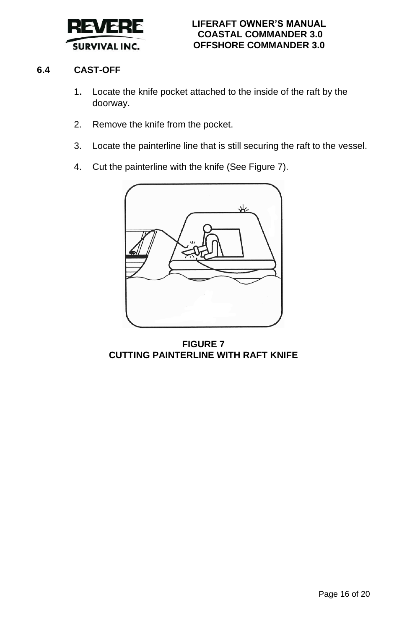

# **6.4 CAST-OFF**

- 1. Locate the knife pocket attached to the inside of the raft by the doorway.
- 2. Remove the knife from the pocket.
- 3. Locate the painterline line that is still securing the raft to the vessel.
- 4. Cut the painterline with the knife (See Figure 7).



**FIGURE 7 CUTTING PAINTERLINE WITH RAFT KNIFE**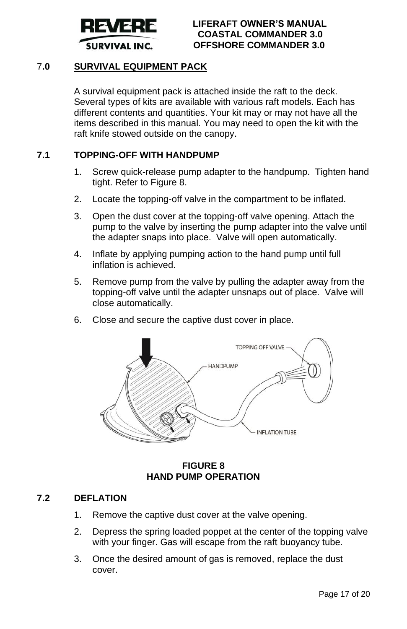

# 7**.0 SURVIVAL EQUIPMENT PACK**

A survival equipment pack is attached inside the raft to the deck. Several types of kits are available with various raft models. Each has different contents and quantities. Your kit may or may not have all the items described in this manual. You may need to open the kit with the raft knife stowed outside on the canopy.

#### **7.1 TOPPING-OFF WITH HANDPUMP**

- 1. Screw quick-release pump adapter to the handpump. Tighten hand tight. Refer to Figure 8.
- 2. Locate the topping-off valve in the compartment to be inflated.
- 3. Open the dust cover at the topping-off valve opening. Attach the pump to the valve by inserting the pump adapter into the valve until the adapter snaps into place. Valve will open automatically.
- 4. Inflate by applying pumping action to the hand pump until full inflation is achieved.
- 5. Remove pump from the valve by pulling the adapter away from the topping-off valve until the adapter unsnaps out of place. Valve will close automatically.
- 6. Close and secure the captive dust cover in place.



# **FIGURE 8 HAND PUMP OPERATION**

#### **7.2 DEFLATION**

- 1. Remove the captive dust cover at the valve opening.
- 2. Depress the spring loaded poppet at the center of the topping valve with your finger. Gas will escape from the raft buoyancy tube.
- 3. Once the desired amount of gas is removed, replace the dust cover.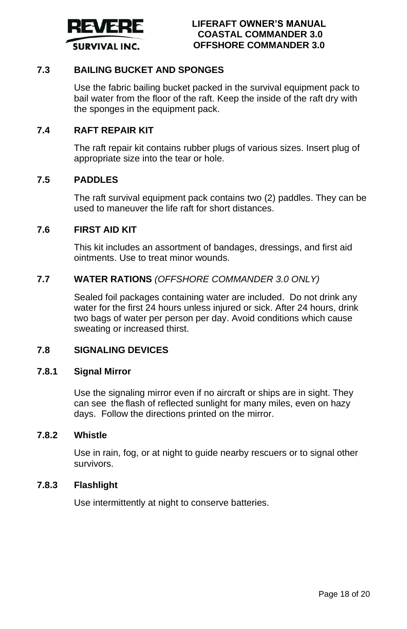

### **7.3 BAILING BUCKET AND SPONGES**

Use the fabric bailing bucket packed in the survival equipment pack to bail water from the floor of the raft. Keep the inside of the raft dry with the sponges in the equipment pack.

#### **7.4 RAFT REPAIR KIT**

The raft repair kit contains rubber plugs of various sizes. Insert plug of appropriate size into the tear or hole.

#### **7.5 PADDLES**

The raft survival equipment pack contains two (2) paddles. They can be used to maneuver the life raft for short distances.

#### **7.6 FIRST AID KIT**

This kit includes an assortment of bandages, dressings, and first aid ointments. Use to treat minor wounds.

#### **7.7 WATER RATIONS** *(OFFSHORE COMMANDER 3.0 ONLY)*

Sealed foil packages containing water are included. Do not drink any water for the first 24 hours unless injured or sick. After 24 hours, drink two bags of water per person per day. Avoid conditions which cause sweating or increased thirst.

#### **7.8 SIGNALING DEVICES**

#### **7.8.1 Signal Mirror**

Use the signaling mirror even if no aircraft or ships are in sight. They can see the flash of reflected sunlight for many miles, even on hazy days. Follow the directions printed on the mirror.

# **7.8.2 Whistle**

Use in rain, fog, or at night to guide nearby rescuers or to signal other survivors.

#### **7.8.3 Flashlight**

Use intermittently at night to conserve batteries.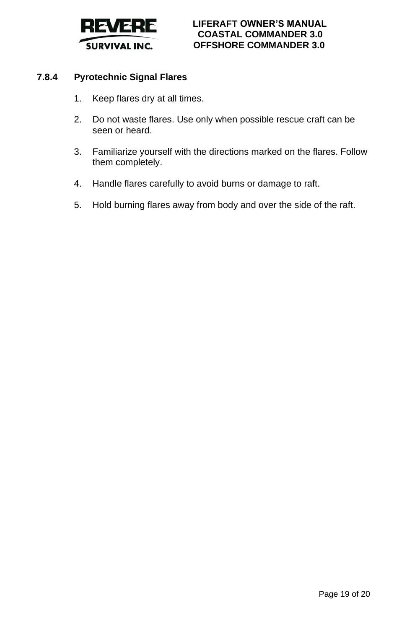

# **7.8.4 Pyrotechnic Signal Flares**

- 1. Keep flares dry at all times.
- 2. Do not waste flares. Use only when possible rescue craft can be seen or heard.
- 3. Familiarize yourself with the directions marked on the flares. Follow them completely.
- 4. Handle flares carefully to avoid burns or damage to raft.
- 5. Hold burning flares away from body and over the side of the raft.